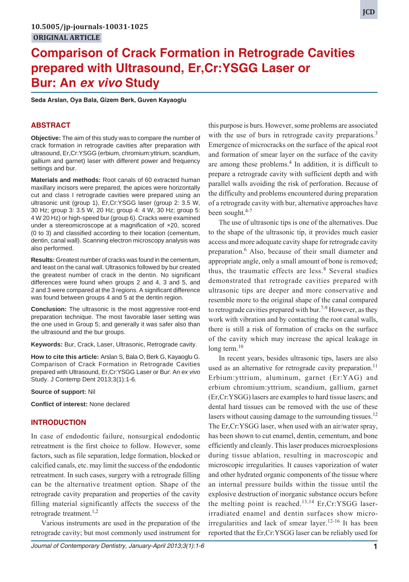# **Comparison of Crack Formation in Retrograde Cavities prepared with Ultrasound, Er,Cr:YSGG Laser or Bur: An** *ex vivo* **Study**

**Seda Arslan, Oya Bala, Gizem Berk, Guven Kayaoglu**

# **ABSTRACT**

**Objective:** The aim of this study was to compare the number of crack formation in retrograde cavities after preparation with ultrasound, Er,Cr:YSGG (erbium, chromium:yttrium, scandium, gallium and garnet) laser with different power and frequency settings and bur.

**Materials and methods:** Root canals of 60 extracted human maxillary incisors were prepared, the apices were horizontally cut and class I retrograde cavities were prepared using an ultrasonic unit (group 1), Er,Cr:YSGG laser (group 2: 3.5 W, 30 Hz; group 3: 3.5 W, 20 Hz; group 4: 4 W, 30 Hz; group 5: 4 W 20 Hz) or high-speed bur (group 6). Cracks were examined under a stereomicroscope at a magnification of ×20, scored (0 to 3) and classified according to their location (cementum, dentin, canal wall). Scanning electron microscopy analysis was also performed.

**Results:** Greatest number of cracks was found in the cementum, and least on the canal wall. Ultrasonics followed by bur created the greatest number of crack in the dentin. No significant differences were found when groups 2 and 4, 3 and 5, and 2 and 3 were compared at the 3 regions. A significant difference was found between groups 4 and 5 at the dentin region.

**Conclusion:** The ultrasonic is the most aggressive root-end preparation technique. The most favorable laser setting was the one used in Group 5; and generally it was safer also than the ultrasound and the bur groups.

**Keywords:** Bur, Crack, Laser, Ultrasonic, Retrograde cavity.

**How to cite this article:** Arslan S, Bala O, Berk G, Kayaoglu G. Comparison of Crack Formation in Retrograde Cavities prepared with Ultrasound, Er,Cr:YSGG Laser or Bur: An *ex vivo* Study. J Contemp Dent 2013;3(1):1-6.

**Source of support:** Nil

**Conflict of interest:** None declared

#### **INTRODUCTION**

In case of endodontic failure, nonsurgical endodontic retreatment is the first choice to follow. However, some factors, such as file separation, ledge formation, blocked or calcified canals, etc. may limit the success of the endodontic retreatment. In such cases, surgery with a retrograde filling can be the alternative treatment option. Shape of the retrograde cavity preparation and properties of the cavity filling material significantly affects the success of the retrograde treatment.<sup>1,2</sup>

Various instruments are used in the preparation of the retrograde cavity; but most commonly used instrument for

with the use of burs in retrograde cavity preparations.<sup>3</sup> Emergence of microcracks on the surface of the apical root and formation of smear layer on the surface of the cavity are among these problems.<sup>4</sup> In addition, it is difficult to prepare a retrograde cavity with sufficient depth and with parallel walls avoiding the risk of perforation. Because of the difficulty and problems encountered during preparation of a retrograde cavity with bur, alternative approaches have been sought.<sup>4-7</sup>

this purpose is burs. However, some problems are associated

The use of ultrasonic tips is one of the alternatives. Due to the shape of the ultrasonic tip, it provides much easier access and more adequate cavity shape for retrograde cavity preparation.<sup>6</sup> Also, because of their small diameter and appropriate angle, only a small amount of bone is removed; thus, the traumatic effects are less.<sup>8</sup> Several studies demonstrated that retrograde cavities prepared with ultrasonic tips are deeper and more conservative and resemble more to the original shape of the canal compared to retrograde cavities prepared with bur.<sup>7-9</sup> However, as they work with vibration and by contacting the root canal walls, there is still a risk of formation of cracks on the surface of the cavity which may increase the apical leakage in long term. $10$ 

In recent years, besides ultrasonic tips, lasers are also used as an alternative for retrograde cavity preparation.<sup>11</sup> Erbium:yttrium, aluminum, garnet (Er:YAG) and erbium chromium:yttrium, scandium, gallium, garnet (Er,Cr:YSGG) lasers are examples to hard tissue lasers; and dental hard tissues can be removed with the use of these lasers without causing damage to the surrounding tissues.<sup>12</sup> The Er,Cr:YSGG laser, when used with an air/water spray, has been shown to cut enamel, dentin, cementum, and bone efficiently and cleanly. This laser produces microexplosions during tissue ablation, resulting in macroscopic and microscopic irregularities. It causes vaporization of water and other hydrated organic components of the tissue where an internal pressure builds within the tissue until the explosive destruction of inorganic substance occurs before the melting point is reached.<sup>13,14</sup> Er,Cr:YSGG laserirradiated enamel and dentin surfaces show microirregularities and lack of smear layer.<sup>12-16</sup> It has been reported that the Er,Cr:YSGG laser can be reliably used for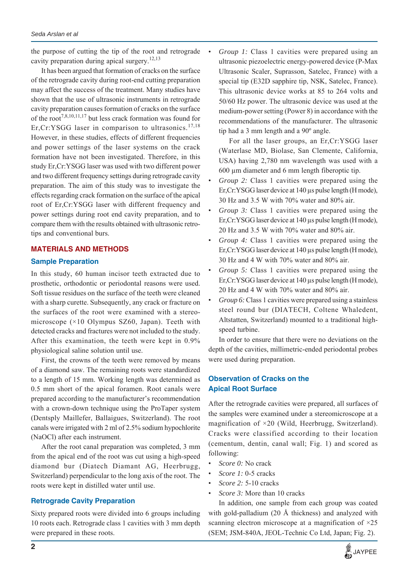the purpose of cutting the tip of the root and retrograde cavity preparation during apical surgery.12,13

It has been argued that formation of cracks on the surface of the retrograde cavity during root-end cutting preparation may affect the success of the treatment. Many studies have shown that the use of ultrasonic instruments in retrograde cavity preparation causes formation of cracks on the surface of the root<sup>7,8,10,11,17</sup> but less crack formation was found for Er, Cr:YSGG laser in comparison to ultrasonics.<sup>17,18</sup> However, in these studies, effects of different frequencies and power settings of the laser systems on the crack formation have not been investigated. Therefore, in this study Er,Cr:YSGG laser was used with two different power and two different frequency settings during retrograde cavity preparation. The aim of this study was to investigate the effects regarding crack formation on the surface of the apical root of Er,Cr:YSGG laser with different frequency and power settings during root end cavity preparation, and to compare them with the results obtained with ultrasonic retrotips and conventional burs.

# **MATERIALS AND METHODS**

# **Sample Preparation**

In this study, 60 human incisor teeth extracted due to prosthetic, orthodontic or periodontal reasons were used. Soft tissue residues on the surface of the teeth were cleaned with a sharp curette. Subsequently, any crack or fracture on the surfaces of the root were examined with a stereomicroscope  $(x10 \text{ Olympus } SZ60, Japan)$ . Teeth with detected cracks and fractures were not included to the study. After this examination, the teeth were kept in 0.9% physiological saline solution until use.

First, the crowns of the teeth were removed by means of a diamond saw. The remaining roots were standardized to a length of 15 mm. Working length was determined as 0.5 mm short of the apical foramen. Root canals were prepared according to the manufacturer's recommendation with a crown-down technique using the ProTaper system (Dentsply Maillefer, Ballaigues, Switzerland). The root canals were irrigated with 2 ml of 2.5% sodium hypochlorite (NaOCl) after each instrument.

After the root canal preparation was completed, 3 mm from the apical end of the root was cut using a high-speed diamond bur (Diatech Diamant AG, Heerbrugg, Switzerland) perpendicular to the long axis of the root. The roots were kept in distilled water until use.

# **Retrograde Cavity Preparation**

Sixty prepared roots were divided into 6 groups including 10 roots each. Retrograde class 1 cavities with 3 mm depth were prepared in these roots.

*Group 1:* Class 1 cavities were prepared using an ultrasonic piezoelectric energy-powered device (P-Max Ultrasonic Scaler, Suprasson, Satelec, France) with a special tip (E32D sapphire tip, NSK, Satelec, France). This ultrasonic device works at 85 to 264 volts and 50/60 Hz power. The ultrasonic device was used at the medium-power setting (Power 8) in accordance with the recommendations of the manufacturer. The ultrasonic tip had a 3 mm length and a 90º angle.

For all the laser groups, an Er,Cr:YSGG laser (Waterlase MD, Biolase, San Clemente, California, USA) having 2,780 nm wavelength was used with a 600 μm diameter and 6 mm length fiberoptic tip.

- *Group 2:* Class 1 cavities were prepared using the Er,Cr:YSGG laser device at 140 μs pulse length (H mode), 30 Hz and 3.5 W with 70% water and 80% air.
- *Group 3:* Class 1 cavities were prepared using the Er,Cr:YSGG laser device at 140 μs pulse length (H mode), 20 Hz and 3.5 W with 70% water and 80% air.
- *Group 4:* Class 1 cavities were prepared using the Er,Cr:YSGG laser device at 140 μs pulse length (H mode), 30 Hz and 4 W with 70% water and 80% air.
- *Group 5:* Class 1 cavities were prepared using the Er,Cr:YSGG laser device at 140 μs pulse length (H mode), 20 Hz and 4 W with 70% water and 80% air.
- *Group 6:* Class 1 cavities were prepared using a stainless steel round bur (DIATECH, Coltene Whaledent, Altstatten, Switzerland) mounted to a traditional highspeed turbine.

In order to ensure that there were no deviations on the depth of the cavities, millimetric-ended periodontal probes were used during preparation.

# **Observation of Cracks on the Apical Root Surface**

After the retrograde cavities were prepared, all surfaces of the samples were examined under a stereomicroscope at a magnification of ×20 (Wild, Heerbrugg, Switzerland). Cracks were classified according to their location (cementum, dentin, canal wall; Fig. 1) and scored as following:

- *Score 0:* No crack
- *Score 1:* 0-5 cracks
- *Score 2:* 5-10 cracks
- *Score 3:* More than 10 cracks

In addition, one sample from each group was coated with gold-palladium (20 Å thickness) and analyzed with scanning electron microscope at a magnification of  $\times 25$ (SEM; JSM-840A, JEOL-Technic Co Ltd, Japan; Fig. 2).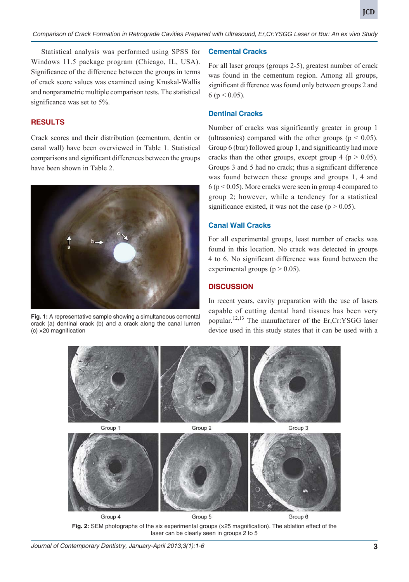Statistical analysis was performed using SPSS for Windows 11.5 package program (Chicago, IL, USA). Significance of the difference between the groups in terms of crack score values was examined using Kruskal-Wallis and nonparametric multiple comparison tests. The statistical significance was set to 5%.

#### **RESULTS**

Crack scores and their distribution (cementum, dentin or canal wall) have been overviewed in Table 1. Statistical comparisons and significant differences between the groups have been shown in Table 2.



**Fig. 1:** A representative sample showing a simultaneous cemental crack (a) dentinal crack (b) and a crack along the canal lumen (c) ×20 magnification

#### **Cemental Cracks**

For all laser groups (groups 2-5), greatest number of crack was found in the cementum region. Among all groups, significant difference was found only between groups 2 and 6 ( $p < 0.05$ ).

#### **Dentinal Cracks**

Number of cracks was significantly greater in group 1 (ultrasonics) compared with the other groups ( $p < 0.05$ ). Group 6 (bur) followed group 1, and significantly had more cracks than the other groups, except group 4 ( $p > 0.05$ ). Groups 3 and 5 had no crack; thus a significant difference was found between these groups and groups 1, 4 and  $6 (p < 0.05)$ . More cracks were seen in group 4 compared to group 2; however, while a tendency for a statistical significance existed, it was not the case ( $p > 0.05$ ).

#### **Canal Wall Cracks**

For all experimental groups, least number of cracks was found in this location. No crack was detected in groups 4 to 6. No significant difference was found between the experimental groups ( $p > 0.05$ ).

#### **DISCUSSION**

In recent years, cavity preparation with the use of lasers capable of cutting dental hard tissues has been very popular.12,13 The manufacturer of the Er,Cr:YSGG laser device used in this study states that it can be used with a



**Fig. 2:** SEM photographs of the six experimental groups (×25 magnification). The ablation effect of the laser can be clearly seen in groups 2 to 5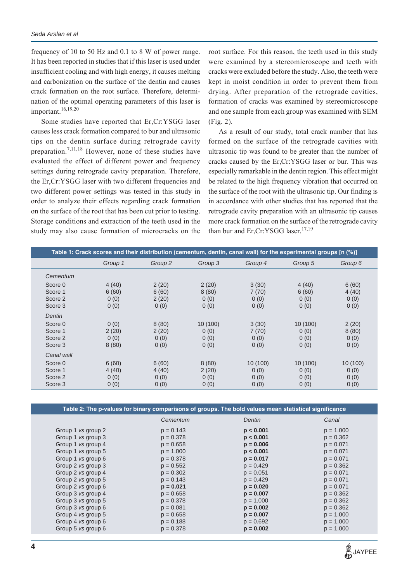frequency of 10 to 50 Hz and 0.1 to 8 W of power range. It has been reported in studies that if this laser is used under insufficient cooling and with high energy, it causes melting and carbonization on the surface of the dentin and causes crack formation on the root surface. Therefore, determination of the optimal operating parameters of this laser is important.<sup>16,19,20</sup>

Some studies have reported that Er,Cr:YSGG laser causes less crack formation compared to bur and ultrasonic tips on the dentin surface during retrograde cavity preparation.7,11,18 However, none of these studies have evaluated the effect of different power and frequency settings during retrograde cavity preparation. Therefore, the Er,Cr:YSGG laser with two different frequencies and two different power settings was tested in this study in order to analyze their effects regarding crack formation on the surface of the root that has been cut prior to testing. Storage conditions and extraction of the teeth used in the study may also cause formation of microcracks on the

root surface. For this reason, the teeth used in this study were examined by a stereomicroscope and teeth with cracks were excluded before the study. Also, the teeth were kept in moist condition in order to prevent them from drying. After preparation of the retrograde cavities, formation of cracks was examined by stereomicroscope and one sample from each group was examined with SEM (Fig. 2).

As a result of our study, total crack number that has formed on the surface of the retrograde cavities with ultrasonic tip was found to be greater than the number of cracks caused by the Er,Cr:YSGG laser or bur. This was especially remarkable in the dentin region. This effect might be related to the high frequency vibration that occurred on the surface of the root with the ultrasonic tip. Our finding is in accordance with other studies that has reported that the retrograde cavity preparation with an ultrasonic tip causes more crack formation on the surface of the retrograde cavity than bur and Er, Cr: YSGG laser.<sup>17,19</sup>

|            | Table 1: Crack scores and their distribution (cementum, dentin, canal wall) for the experimental groups [n $(\%)$ ] |         |         |          |          |         |
|------------|---------------------------------------------------------------------------------------------------------------------|---------|---------|----------|----------|---------|
|            | Group 1                                                                                                             | Group 2 | Group 3 | Group 4  | Group 5  | Group 6 |
| Cementum   |                                                                                                                     |         |         |          |          |         |
| Score 0    | 4(40)                                                                                                               | 2(20)   | 2(20)   | 3(30)    | 4(40)    | 6(60)   |
| Score 1    | 6(60)                                                                                                               | 6(60)   | 8(80)   | 7(70)    | 6(60)    | 4(40)   |
| Score 2    | 0(0)                                                                                                                | 2(20)   | 0(0)    | 0(0)     | 0(0)     | 0(0)    |
| Score 3    | 0(0)                                                                                                                | 0(0)    | 0(0)    | 0(0)     | 0(0)     | 0(0)    |
| Dentin     |                                                                                                                     |         |         |          |          |         |
| Score 0    | 0(0)                                                                                                                | 8(80)   | 10(100) | 3(30)    | 10 (100) | 2(20)   |
| Score 1    | 2(20)                                                                                                               | 2(20)   | 0(0)    | 7(70)    | 0(0)     | 8(80)   |
| Score 2    | 0(0)                                                                                                                | 0(0)    | 0(0)    | 0(0)     | 0(0)     | 0(0)    |
| Score 3    | 8(80)                                                                                                               | 0(0)    | 0(0)    | 0(0)     | 0(0)     | 0(0)    |
| Canal wall |                                                                                                                     |         |         |          |          |         |
| Score 0    | 6(60)                                                                                                               | 6(60)   | 8(80)   | 10 (100) | 10 (100) | 10(100) |
| Score 1    | 4(40)                                                                                                               | 4(40)   | 2(20)   | 0(0)     | 0(0)     | 0(0)    |
| Score 2    | 0(0)                                                                                                                | 0(0)    | 0(0)    | 0(0)     | 0(0)     | 0(0)    |
| Score 3    | 0(0)                                                                                                                | 0(0)    | 0(0)    | 0(0)     | 0(0)     | 0(0)    |

| Table 2: The p-values for binary comparisons of groups. The bold values mean statistical significance |             |             |             |  |  |  |
|-------------------------------------------------------------------------------------------------------|-------------|-------------|-------------|--|--|--|
|                                                                                                       | Cementum    | Dentin      | Canal       |  |  |  |
| Group 1 vs group 2                                                                                    | $p = 0.143$ | p < 0.001   | $p = 1.000$ |  |  |  |
| Group 1 <i>vs</i> group 3                                                                             | $p = 0.378$ | p < 0.001   | $p = 0.362$ |  |  |  |
| Group 1 vs group 4                                                                                    | $p = 0.658$ | $p = 0.006$ | $p = 0.071$ |  |  |  |
| Group 1 vs group 5                                                                                    | $p = 1.000$ | p < 0.001   | $p = 0.071$ |  |  |  |
| Group 1 vs group 6                                                                                    | $p = 0.378$ | $p = 0.017$ | $p = 0.071$ |  |  |  |
| Group 2 vs group 3                                                                                    | $p = 0.552$ | $p = 0.429$ | $p = 0.362$ |  |  |  |
| Group 2 vs group 4                                                                                    | $p = 0.302$ | $p = 0.051$ | $p = 0.071$ |  |  |  |
| Group 2 vs group 5                                                                                    | $p = 0.143$ | $p = 0.429$ | $p = 0.071$ |  |  |  |
| Group 2 vs group 6                                                                                    | $p = 0.021$ | $p = 0.020$ | $p = 0.071$ |  |  |  |
| Group 3 vs group 4                                                                                    | $p = 0.658$ | $p = 0.007$ | $p = 0.362$ |  |  |  |
| Group 3 vs group 5                                                                                    | $p = 0.378$ | $p = 1.000$ | $p = 0.362$ |  |  |  |
| Group 3 vs group 6                                                                                    | $p = 0.081$ | $p = 0.002$ | $p = 0.362$ |  |  |  |
| Group 4 vs group 5                                                                                    | $p = 0.658$ | $p = 0.007$ | $p = 1.000$ |  |  |  |
| Group 4 vs group 6                                                                                    | $p = 0.188$ | $p = 0.692$ | $p = 1.000$ |  |  |  |
| Group 5 vs group 6                                                                                    | $p = 0.378$ | $p = 0.002$ | $p = 1.000$ |  |  |  |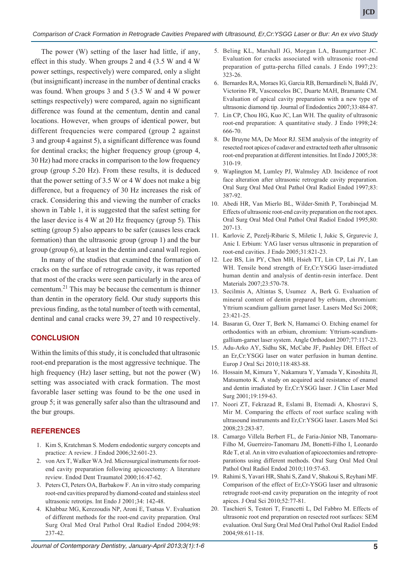*Comparison of Crack Formation in Retrograde Cavities Prepared with Ultrasound, Er,Cr:YSGG Laser or Bur: An ex vivo Study*

The power (W) setting of the laser had little, if any, effect in this study. When groups 2 and 4 (3.5 W and 4 W power settings, respectively) were compared, only a slight (but insignificant) increase in the number of dentinal cracks was found. When groups 3 and 5 (3.5 W and 4 W power settings respectively) were compared, again no significant difference was found at the cementum, dentin and canal locations. However, when groups of identical power, but different frequencies were compared (group 2 against 3 and group 4 against 5), a significant difference was found for dentinal cracks; the higher frequency group (group 4, 30 Hz) had more cracks in comparison to the low frequency group (group 5.20 Hz). From these results, it is deduced that the power setting of 3.5 W or 4 W does not make a big difference, but a frequency of 30 Hz increases the risk of crack. Considering this and viewing the number of cracks shown in Table 1, it is suggested that the safest setting for the laser device is 4 W at 20 Hz frequency (group 5). This setting (group 5) also appears to be safer (causes less crack formation) than the ultrasonic group (group 1) and the bur group (group 6), at least in the dentin and canal wall region.

In many of the studies that examined the formation of cracks on the surface of retrograde cavity, it was reported that most of the cracks were seen particularly in the area of cementum.21 This may be because the cementum is thinner than dentin in the operatory field. Our study supports this previous finding, as the total number of teeth with cemental, dentinal and canal cracks were 39, 27 and 10 respectively.

# **CONCLUSION**

Within the limits of this study, it is concluded that ultrasonic root-end preparation is the most aggressive technique. The high frequency (Hz) laser setting, but not the power (W) setting was associated with crack formation. The most favorable laser setting was found to be the one used in group 5; it was generally safer also than the ultrasound and the bur groups.

# **REFERENCES**

- 1. Kim S, Kratchman S. Modern endodontic surgery concepts and practice: A review. J Endod 2006;32:601-23.
- 2. von Arx T, Walker WA 3rd. Microsurgical instruments for rootend cavity preparation following apicoectomy: A literature review. Endod Dent Traumatol 2000;16:47-62.
- 3. Peters CI, Peters OA, Barbakow F. An in vitro study comparing root-end cavities prepared by diamond-coated and stainless steel ultrasonic retrotips. Int Endo J 2001;34: 142-48.
- 4. Khabbaz MG, Kerezoudis NP, Aroni E, Tsatsas V. Evaluation of different methods for the root-end cavity preparation. Oral Surg Oral Med Oral Pathol Oral Radiol Endod 2004;98: 237-42.
- 5. Beling KL, Marshall JG, Morgan LA, Baumgartner JC. Evaluation for cracks associated with ultrasonic root-end preparation of gutta-percha filled canals. J Endo 1997;23: 323-26.
- 6. Bernardes RA, Moraes IG, Garcia RB, Bernardineli N, Baldi JV, Victorino FR, Vasconcelos BC, Duarte MAH, Bramante CM. Evaluation of apical cavity preparation with a new type of ultrasonic diamond tip. Journal of Endodontics 2007;33:484-87.
- 7. Lin CP, Chou HG, Kuo JC, Lan WH. The quality of ultrasonic root-end preparation: A quantitative study. J Endo 1998;24: 666-70.
- 8. De Bruyne MA, De Moor RJ. SEM analysis of the integrity of resected root apices of cadaver and extracted teeth after ultrasonic root-end preparation at different intensities. Int Endo J 2005;38: 310-19.
- 9. Waplington M, Lumley PJ, Walmsley AD. Incidence of root face alteration after ultrasonic retrograde cavity preparation. Oral Surg Oral Med Oral Pathol Oral Radiol Endod 1997;83: 387-92.
- 10. Abedi HR, Van Mierlo BL, Wilder-Smith P, Torabinejad M. Effects of ultrasonic root-end cavity preparation on the root apex. Oral Surg Oral Med Oral Pathol Oral Radiol Endod 1995;80: 207-13.
- 11. Karlovic Z, Pezelj-Ribaric S, Miletic I, Jukic S, Grgurevic J, Anic I. Erbium: YAG laser versus ultrasonic in preparation of root-end cavities. J Endo 2005;31:821-23.
- 12. Lee BS, Lin PY, Chen MH, Hsieh TT, Lin CP, Lai JY, Lan WH. Tensile bond strength of Er,Cr:YSGG laser-irradiated human dentin and analysis of dentin-resin interface. Dent Materials 2007;23:570-78.
- 13. Secilmis A, Altintas S, Usumez A, Berk G. Evaluation of mineral content of dentin prepared by erbium, chromium: Yttrium scandium gallium garnet laser. Lasers Med Sci 2008; 23:421-25.
- 14. Basaran G, Ozer T, Berk N, Hamamci O. Etching enamel for orthodontics with an erbium, chromium: Yttrium-scandiumgallium-garnet laser system. Angle Orthodont 2007;77:117-23.
- 15. Adu-Arko AY, Sidhu SK, McCabe JF, Pashley DH. Effect of an Er,Cr:YSGG laser on water perfusion in human dentine. Europ J Oral Sci 2010;118:483-88.
- 16. Hossain M, Kimura Y, Nakamura Y, Yamada Y, Kinoshita JI, Matsumoto K. A study on acquired acid resistance of enamel and dentin irradiated by Er,Cr:YSGG laser. J Clin Laser Med Surg 2001;19:159-63.
- 17. Noori ZT, Fekrazad R, Eslami B, Etemadi A, Khosravi S, Mir M. Comparing the effects of root surface scaling with ultrasound instruments and Er,Cr:YSGG laser. Lasers Med Sci 2008;23:283-87.
- 18. Camargo Villela Berbert FL, de Faria-Júnior NB, Tanomaru-Filho M, Guerreiro-Tanomaru JM, Bonetti-Filho I, Leonardo Rde T, et al. An in vitro evaluation of apicoectomies and retropreparations using different methods. Oral Surg Oral Med Oral Pathol Oral Radiol Endod 2010;110:57-63.
- 19. Rahimi S, Yavari HR, Shahi S, Zand V, Shakoui S, Reyhani MF. Comparison of the effect of Er,Cr-YSGG laser and ultrasonic retrograde root-end cavity preparation on the integrity of root apices. J Oral Sci 2010;52:77-81.
- 20. Taschieri S, Testori T, Francetti L, Del Fabbro M. Effects of ultrasonic root end preparation on resected root surfaces: SEM evaluation. Oral Surg Oral Med Oral Pathol Oral Radiol Endod 2004;98:611-18.